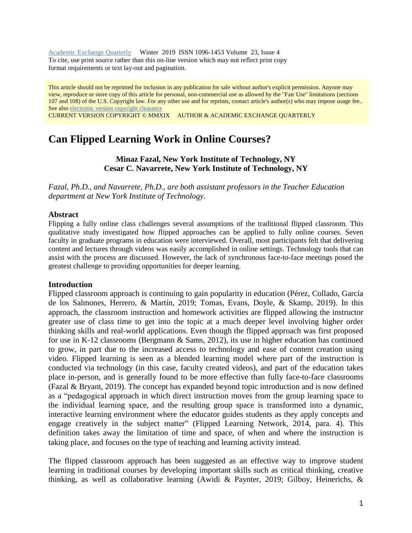Academic Exchange [Quarterly](http://rapidintellect.com/AEQweb/) Winter 2019 ISSN 1096-1453 Volume 23, Issue 4 To cite, use print source rather than this on-line version which may not reflect print copy format requirements or text lay-out and pagination.

This article should not be reprinted for inclusion in any publication for sale without author's explicit permission. Anyone may view, reproduce or store copy of this article for personal, non-commercial use as allowed by the "Fair Use" limitations (sections 107 and 108) of the U.S. Copyright law. For any other use and for reprints, contact article's author(s) who may impose usage fee.. See also [electronic](http://www.rapidintellect.com/AEQweb/macacl.htm) version copyright clearance

CURRENT VERSION COPYRIGHT © MMXIX AUTHOR & ACADEMIC EXCHANGE QUARTERLY

# **Can Flipped Learning Work in Online Courses?**

**Minaz Fazal, New York Institute of Technology, NY Cesar C. Navarrete, New York Institute of Technology, NY**

*Fazal, Ph.D., and Navarrete, Ph.D., are both assistant professors in the Teacher Education department at New York Institute of Technology.*

#### **Abstract**

Flipping a fully online class challenges several assumptions of the traditional flipped classroom. This qualitative study investigated how flipped approaches can be applied to fully online courses. Seven faculty in graduate programs in education were interviewed. Overall, most participants felt that delivering content and lectures through videos was easily accomplished in online settings. Technology tools that can assist with the process are discussed. However, the lack of synchronous face-to-face meetings posed the greatest challenge to providing opportunities for deeper learning.

#### **Introduction**

Flipped classroom approach is continuing to gain popularity in education (Pérez, Collado, García de los Salmones, Herrero, & Martín, 2019; Tomas, Evans, Doyle, & Skamp, 2019). In this approach, the classroom instruction and homework activities are flipped allowing the instructor greater use of class time to get into the topic at a much deeper level involving higher order thinking skills and real-world applications. Even though the flipped approach was first proposed for use in K-12 classrooms (Bergmann & Sams, 2012), its use in higher education has continued to grow, in part due to the increased access to technology and ease of content creation using video. Flipped learning is seen as a blended learning model where part of the instruction is conducted via technology (in this case, faculty created videos), and part of the education takes place in-person, and is generally found to be more effective than fully face-to-face classrooms (Fazal & Bryant, 2019). The concept has expanded beyond topic introduction and is now defined as a "pedagogical approach in which direct instruction moves from the group learning space to the individual learning space, and the resulting group space is transformed into a dynamic, interactive learning environment where the educator guides students as they apply concepts and engage creatively in the subject matter" (Flipped Learning Network, 2014, para. 4). This definition takes away the limitation of time and space, of when and where the instruction is taking place, and focuses on the type of teaching and learning activity instead.

The flipped classroom approach has been suggested as an effective way to improve student learning in traditional courses by developing important skills such as critical thinking, creative thinking, as well as collaborative learning (Awidi & Paynter, 2019; Gilboy, Heinerichs, &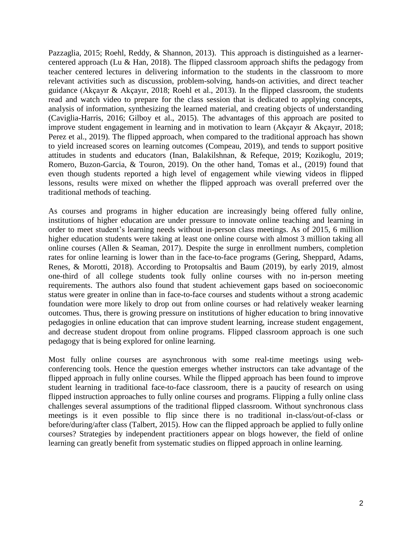Pazzaglia, 2015; Roehl, Reddy, & Shannon, 2013). This approach is distinguished as a learnercentered approach (Lu & Han, 2018). The flipped classroom approach shifts the pedagogy from teacher centered lectures in delivering information to the students in the classroom to more relevant activities such as discussion, problem-solving, hands-on activities, and direct teacher guidance (Akçayır & Akçayır, 2018; Roehl et al., 2013). In the flipped classroom, the students read and watch video to prepare for the class session that is dedicated to applying concepts, analysis of information, synthesizing the learned material, and creating objects of understanding (Caviglia-Harris, 2016; Gilboy et al., 2015). The advantages of this approach are posited to improve student engagement in learning and in motivation to learn (Akçayır & Akçayır, 2018; Perez et al., 2019). The flipped approach, when compared to the traditional approach has shown to yield increased scores on learning outcomes (Compeau, 2019), and tends to support positive attitudes in students and educators (Inan, Balakilshnan, & Refeque, 2019; Kozikoglu, 2019; Romero, Buzon-Garcia, & Touron, 2019). On the other hand, Tomas et al., (2019) found that even though students reported a high level of engagement while viewing videos in flipped lessons, results were mixed on whether the flipped approach was overall preferred over the traditional methods of teaching.

As courses and programs in higher education are increasingly being offered fully online, institutions of higher education are under pressure to innovate online teaching and learning in order to meet student's learning needs without in-person class meetings. As of 2015, 6 million higher education students were taking at least one online course with almost 3 million taking all online courses (Allen & Seaman, 2017). Despite the surge in enrollment numbers, completion rates for online learning is lower than in the face-to-face programs (Gering, Sheppard, Adams, Renes, & Morotti, 2018). According to Protopsaltis and Baum (2019), by early 2019, almost one-third of all college students took fully online courses with no in-person meeting requirements. The authors also found that student achievement gaps based on socioeconomic status were greater in online than in face-to-face courses and students without a strong academic foundation were more likely to drop out from online courses or had relatively weaker learning outcomes. Thus, there is growing pressure on institutions of higher education to bring innovative pedagogies in online education that can improve student learning, increase student engagement, and decrease student dropout from online programs. Flipped classroom approach is one such pedagogy that is being explored for online learning.

Most fully online courses are asynchronous with some real-time meetings using webconferencing tools. Hence the question emerges whether instructors can take advantage of the flipped approach in fully online courses. While the flipped approach has been found to improve student learning in traditional face-to-face classroom, there is a paucity of research on using flipped instruction approaches to fully online courses and programs. Flipping a fully online class challenges several assumptions of the traditional flipped classroom. Without synchronous class meetings is it even possible to flip since there is no traditional in-class/out-of-class or before/during/after class (Talbert, 2015). How can the flipped approach be applied to fully online courses? Strategies by independent practitioners appear on blogs however, the field of online learning can greatly benefit from systematic studies on flipped approach in online learning.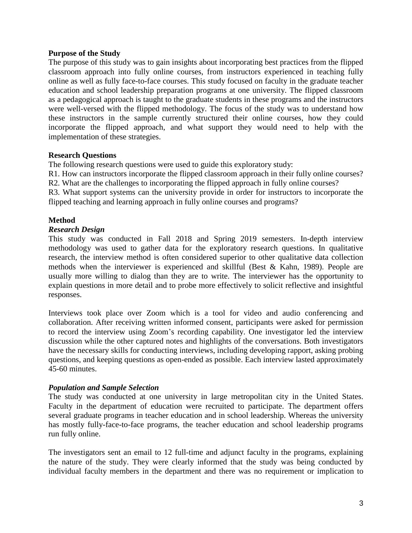# **Purpose of the Study**

The purpose of this study was to gain insights about incorporating best practices from the flipped classroom approach into fully online courses, from instructors experienced in teaching fully online as well as fully face-to-face courses. This study focused on faculty in the graduate teacher education and school leadership preparation programs at one university. The flipped classroom as a pedagogical approach is taught to the graduate students in these programs and the instructors were well-versed with the flipped methodology. The focus of the study was to understand how these instructors in the sample currently structured their online courses, how they could incorporate the flipped approach, and what support they would need to help with the implementation of these strategies.

# **Research Questions**

The following research questions were used to guide this exploratory study:

R1. How can instructors incorporate the flipped classroom approach in their fully online courses? R2. What are the challenges to incorporating the flipped approach in fully online courses?

R3. What support systems can the university provide in order for instructors to incorporate the flipped teaching and learning approach in fully online courses and programs?

# **Method**

#### *Research Design*

This study was conducted in Fall 2018 and Spring 2019 semesters. In-depth interview methodology was used to gather data for the exploratory research questions. In qualitative research, the interview method is often considered superior to other qualitative data collection methods when the interviewer is experienced and skillful (Best & Kahn, 1989). People are usually more willing to dialog than they are to write. The interviewer has the opportunity to explain questions in more detail and to probe more effectively to solicit reflective and insightful responses.

Interviews took place over Zoom which is a tool for video and audio conferencing and collaboration. After receiving written informed consent, participants were asked for permission to record the interview using Zoom's recording capability. One investigator led the interview discussion while the other captured notes and highlights of the conversations. Both investigators have the necessary skills for conducting interviews, including developing rapport, asking probing questions, and keeping questions as open-ended as possible. Each interview lasted approximately 45-60 minutes.

# *Population and Sample Selection*

The study was conducted at one university in large metropolitan city in the United States. Faculty in the department of education were recruited to participate. The department offers several graduate programs in teacher education and in school leadership. Whereas the university has mostly fully-face-to-face programs, the teacher education and school leadership programs run fully online.

The investigators sent an email to 12 full-time and adjunct faculty in the programs, explaining the nature of the study. They were clearly informed that the study was being conducted by individual faculty members in the department and there was no requirement or implication to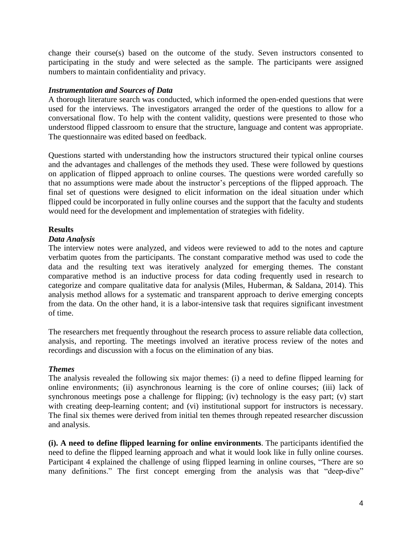change their course(s) based on the outcome of the study. Seven instructors consented to participating in the study and were selected as the sample. The participants were assigned numbers to maintain confidentiality and privacy.

# *Instrumentation and Sources of Data*

A thorough literature search was conducted, which informed the open-ended questions that were used for the interviews. The investigators arranged the order of the questions to allow for a conversational flow. To help with the content validity, questions were presented to those who understood flipped classroom to ensure that the structure, language and content was appropriate. The questionnaire was edited based on feedback.

Questions started with understanding how the instructors structured their typical online courses and the advantages and challenges of the methods they used. These were followed by questions on application of flipped approach to online courses. The questions were worded carefully so that no assumptions were made about the instructor's perceptions of the flipped approach. The final set of questions were designed to elicit information on the ideal situation under which flipped could be incorporated in fully online courses and the support that the faculty and students would need for the development and implementation of strategies with fidelity.

# **Results**

# *Data Analysis*

The interview notes were analyzed, and videos were reviewed to add to the notes and capture verbatim quotes from the participants. The constant comparative method was used to code the data and the resulting text was iteratively analyzed for emerging themes. The constant comparative method is an inductive process for data coding frequently used in research to categorize and compare qualitative data for analysis (Miles, Huberman, & Saldana, 2014). This analysis method allows for a systematic and transparent approach to derive emerging concepts from the data. On the other hand, it is a labor-intensive task that requires significant investment of time.

The researchers met frequently throughout the research process to assure reliable data collection, analysis, and reporting. The meetings involved an iterative process review of the notes and recordings and discussion with a focus on the elimination of any bias.

# *Themes*

The analysis revealed the following six major themes: (i) a need to define flipped learning for online environments; (ii) asynchronous learning is the core of online courses; (iii) lack of synchronous meetings pose a challenge for flipping; (iv) technology is the easy part; (v) start with creating deep-learning content; and (vi) institutional support for instructors is necessary. The final six themes were derived from initial ten themes through repeated researcher discussion and analysis.

**(i). A need to define flipped learning for online environments**. The participants identified the need to define the flipped learning approach and what it would look like in fully online courses. Participant 4 explained the challenge of using flipped learning in online courses, "There are so many definitions." The first concept emerging from the analysis was that "deep-dive"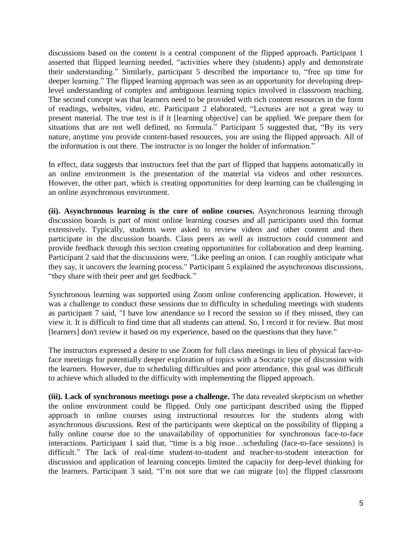discussions based on the content is a central component of the flipped approach. Participant 1 asserted that flipped learning needed, "activities where they (students) apply and demonstrate their understanding." Similarly, participant 5 described the importance to, "free up time for deeper learning." The flipped learning approach was seen as an opportunity for developing deeplevel understanding of complex and ambiguous learning topics involved in classroom teaching. The second concept was that learners need to be provided with rich content resources in the form of readings, websites, video, etc. Participant 2 elaborated, "Lectures are not a great way to present material. The true test is if it [learning objective] can be applied. We prepare them for situations that are not well defined, no formula." Participant 5 suggested that, "By its very nature, anytime you provide content-based resources, you are using the flipped approach. All of the information is out there. The instructor is no longer the holder of information."

In effect, data suggests that instructors feel that the part of flipped that happens automatically in an online environment is the presentation of the material via videos and other resources. However, the other part, which is creating opportunities for deep learning can be challenging in an online asynchronous environment.

**(ii). Asynchronous learning is the core of online courses.** Asynchronous learning through discussion boards is part of most online learning courses and all participants used this format extensively. Typically, students were asked to review videos and other content and then participate in the discussion boards. Class peers as well as instructors could comment and provide feedback through this section creating opportunities for collaboration and deep learning. Participant 2 said that the discussions were, "Like peeling an onion. I can roughly anticipate what they say, it uncovers the learning process." Participant 5 explained the asynchronous discussions, "they share with their peer and get feedback."

Synchronous learning was supported using Zoom online conferencing application. However, it was a challenge to conduct these sessions due to difficulty in scheduling meetings with students as participant 7 said, "I have low attendance so I record the session so if they missed, they can view it. It is difficult to find time that all students can attend. So, I record it for review. But most [learners] don't review it based on my experience, based on the questions that they have."

The instructors expressed a desire to use Zoom for full class meetings in lieu of physical face-toface meetings for potentially deeper exploration of topics with a Socratic type of discussion with the learners. However, due to scheduling difficulties and poor attendance, this goal was difficult to achieve which alluded to the difficulty with implementing the flipped approach.

**(iii). Lack of synchronous meetings pose a challenge.** The data revealed skepticism on whether the online environment could be flipped. Only one participant described using the flipped approach in online courses using instructional resources for the students along with asynchronous discussions. Rest of the participants were skeptical on the possibility of flipping a fully online course due to the unavailability of opportunities for synchronous face-to-face interactions. Participant 1 said that, "time is a big issue…scheduling (face-to-face sessions) is difficult." The lack of real-time student-to-student and teacher-to-student interaction for discussion and application of learning concepts limited the capacity for deep-level thinking for the learners. Participant 3 said, "I'm not sure that we can migrate [to] the flipped classroom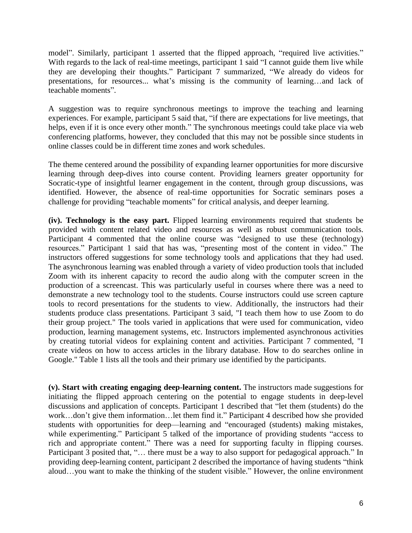model". Similarly, participant 1 asserted that the flipped approach, "required live activities." With regards to the lack of real-time meetings, participant 1 said "I cannot guide them live while they are developing their thoughts." Participant 7 summarized, "We already do videos for presentations, for resources... what's missing is the community of learning…and lack of teachable moments".

A suggestion was to require synchronous meetings to improve the teaching and learning experiences. For example, participant 5 said that, "if there are expectations for live meetings, that helps, even if it is once every other month." The synchronous meetings could take place via web conferencing platforms, however, they concluded that this may not be possible since students in online classes could be in different time zones and work schedules.

The theme centered around the possibility of expanding learner opportunities for more discursive learning through deep-dives into course content. Providing learners greater opportunity for Socratic-type of insightful learner engagement in the content, through group discussions, was identified. However, the absence of real-time opportunities for Socratic seminars poses a challenge for providing "teachable moments" for critical analysis, and deeper learning.

**(iv). Technology is the easy part.** Flipped learning environments required that students be provided with content related video and resources as well as robust communication tools. Participant 4 commented that the online course was "designed to use these (technology) resources." Participant 1 said that has was, "presenting most of the content in video." The instructors offered suggestions for some technology tools and applications that they had used. The asynchronous learning was enabled through a variety of video production tools that included Zoom with its inherent capacity to record the audio along with the computer screen in the production of a screencast. This was particularly useful in courses where there was a need to demonstrate a new technology tool to the students. Course instructors could use screen capture tools to record presentations for the students to view. Additionally, the instructors had their students produce class presentations. Participant 3 said, "I teach them how to use Zoom to do their group project." The tools varied in applications that were used for communication, video production, learning management systems, etc. Instructors implemented asynchronous activities by creating tutorial videos for explaining content and activities. Participant 7 commented, "I create videos on how to access articles in the library database. How to do searches online in Google." Table 1 lists all the tools and their primary use identified by the participants.

**(v). Start with creating engaging deep-learning content.** The instructors made suggestions for initiating the flipped approach centering on the potential to engage students in deep-level discussions and application of concepts. Participant 1 described that "let them (students) do the work…don't give them information…let them find it." Participant 4 described how she provided students with opportunities for deep—learning and "encouraged (students) making mistakes, while experimenting." Participant 5 talked of the importance of providing students "access to rich and appropriate content." There was a need for supporting faculty in flipping courses. Participant 3 posited that, "... there must be a way to also support for pedagogical approach." In providing deep-learning content, participant 2 described the importance of having students "think aloud…you want to make the thinking of the student visible." However, the online environment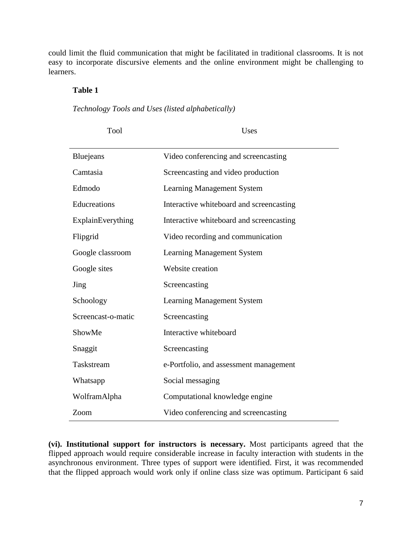could limit the fluid communication that might be facilitated in traditional classrooms. It is not easy to incorporate discursive elements and the online environment might be challenging to learners.

# **Table 1**

*Technology Tools and Uses (listed alphabetically)*

Tool Uses

| Bluejeans          | Video conferencing and screencasting     |
|--------------------|------------------------------------------|
| Camtasia           | Screencasting and video production       |
| Edmodo             | <b>Learning Management System</b>        |
| Educreations       | Interactive whiteboard and screencasting |
| ExplainEverything  | Interactive whiteboard and screencasting |
| Flipgrid           | Video recording and communication        |
| Google classroom   | <b>Learning Management System</b>        |
| Google sites       | Website creation                         |
| Jing               | Screencasting                            |
| Schoology          | <b>Learning Management System</b>        |
| Screencast-o-matic | Screencasting                            |
| ShowMe             | Interactive whiteboard                   |
| Snaggit            | Screencasting                            |
| Taskstream         | e-Portfolio, and assessment management   |
| Whatsapp           | Social messaging                         |
| WolframAlpha       | Computational knowledge engine           |
| Zoom               | Video conferencing and screencasting     |

**(vi). Institutional support for instructors is necessary.** Most participants agreed that the flipped approach would require considerable increase in faculty interaction with students in the asynchronous environment. Three types of support were identified. First, it was recommended that the flipped approach would work only if online class size was optimum. Participant 6 said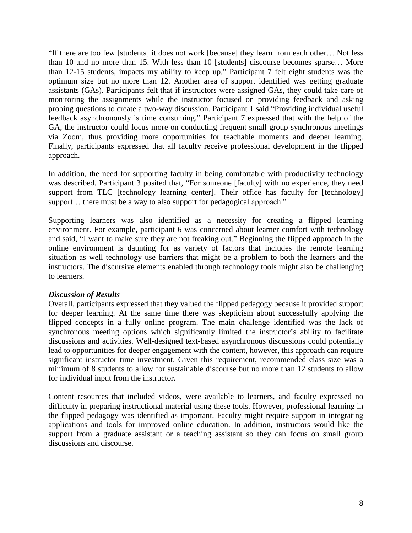"If there are too few [students] it does not work [because] they learn from each other… Not less than 10 and no more than 15. With less than 10 [students] discourse becomes sparse… More than 12-15 students, impacts my ability to keep up." Participant 7 felt eight students was the optimum size but no more than 12. Another area of support identified was getting graduate assistants (GAs). Participants felt that if instructors were assigned GAs, they could take care of monitoring the assignments while the instructor focused on providing feedback and asking probing questions to create a two-way discussion. Participant 1 said "Providing individual useful feedback asynchronously is time consuming." Participant 7 expressed that with the help of the GA, the instructor could focus more on conducting frequent small group synchronous meetings via Zoom, thus providing more opportunities for teachable moments and deeper learning. Finally, participants expressed that all faculty receive professional development in the flipped approach.

In addition, the need for supporting faculty in being comfortable with productivity technology was described. Participant 3 posited that, "For someone [faculty] with no experience, they need support from TLC [technology learning center]. Their office has faculty for [technology] support... there must be a way to also support for pedagogical approach."

Supporting learners was also identified as a necessity for creating a flipped learning environment. For example, participant 6 was concerned about learner comfort with technology and said, "I want to make sure they are not freaking out." Beginning the flipped approach in the online environment is daunting for as variety of factors that includes the remote learning situation as well technology use barriers that might be a problem to both the learners and the instructors. The discursive elements enabled through technology tools might also be challenging to learners.

# *Discussion of Results*

Overall, participants expressed that they valued the flipped pedagogy because it provided support for deeper learning. At the same time there was skepticism about successfully applying the flipped concepts in a fully online program. The main challenge identified was the lack of synchronous meeting options which significantly limited the instructor's ability to facilitate discussions and activities. Well-designed text-based asynchronous discussions could potentially lead to opportunities for deeper engagement with the content, however, this approach can require significant instructor time investment. Given this requirement, recommended class size was a minimum of 8 students to allow for sustainable discourse but no more than 12 students to allow for individual input from the instructor.

Content resources that included videos, were available to learners, and faculty expressed no difficulty in preparing instructional material using these tools. However, professional learning in the flipped pedagogy was identified as important. Faculty might require support in integrating applications and tools for improved online education. In addition, instructors would like the support from a graduate assistant or a teaching assistant so they can focus on small group discussions and discourse.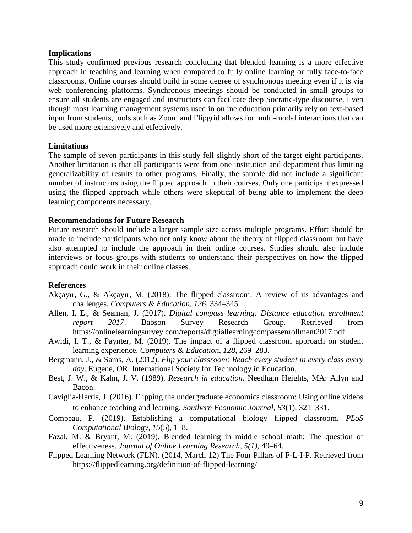#### **Implications**

This study confirmed previous research concluding that blended learning is a more effective approach in teaching and learning when compared to fully online learning or fully face-to-face classrooms. Online courses should build in some degree of synchronous meeting even if it is via web conferencing platforms. Synchronous meetings should be conducted in small groups to ensure all students are engaged and instructors can facilitate deep Socratic-type discourse. Even though most learning management systems used in online education primarily rely on text-based input from students, tools such as Zoom and Flipgrid allows for multi-modal interactions that can be used more extensively and effectively.

# **Limitations**

The sample of seven participants in this study fell slightly short of the target eight participants. Another limitation is that all participants were from one institution and department thus limiting generalizability of results to other programs. Finally, the sample did not include a significant number of instructors using the flipped approach in their courses. Only one participant expressed using the flipped approach while others were skeptical of being able to implement the deep learning components necessary.

# **Recommendations for Future Research**

Future research should include a larger sample size across multiple programs. Effort should be made to include participants who not only know about the theory of flipped classroom but have also attempted to include the approach in their online courses. Studies should also include interviews or focus groups with students to understand their perspectives on how the flipped approach could work in their online classes.

# **References**

- Akçayır, G., & Akçayır, M. (2018). The flipped classroom: A review of its advantages and challenges. *Computers & Education*, *126*, 334–345.
- Allen, I. E., & Seaman, J. (2017). *Digital compass learning: Distance education enrollment report 2017*. Babson Survey Research Group. Retrieved from https://onlinelearningsurvey.com/reports/digtiallearningcompassenrollment2017.pdf
- Awidi, I. T., & Paynter, M. (2019). The impact of a flipped classroom approach on student learning experience. *Computers & Education*, *128*, 269–283.
- Bergmann, J., & Sams, A. (2012). *Flip your classroom: Reach every student in every class every day*. Eugene, OR: International Society for Technology in Education.
- Best, J. W., & Kahn, J. V. (1989). *Research in education.* Needham Heights, MA: Allyn and Bacon.
- Caviglia-Harris, J. (2016). Flipping the undergraduate economics classroom: Using online videos to enhance teaching and learning. *Southern Economic Journal*, *83*(1), 321–331.
- Compeau, P. (2019). Establishing a computational biology flipped classroom. *PLoS Computational Biology*, *15*(5), 1–8.
- Fazal, M. & Bryant, M. (2019). Blended learning in middle school math: The question of effectiveness. *Journal of Online Learning Research, 5(1),* 49–64.
- Flipped Learning Network (FLN). (2014, March 12) The Four Pillars of F-L-I-P. Retrieved from https://flippedlearning.org/definition-of-flipped-learning/